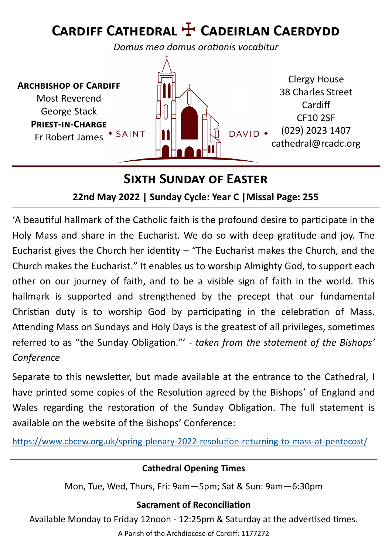# **Cardiff Cathedral** ☩ **Cadeirlan Caerdydd**

*Domus mea domus orationis vocabitur*

**Archbishop of Cardiff** Most Reverend George Stack **Priest-in-Charge** Fr Robert James \* SAINT



### **Sixth Sunday of Easter**

#### **22nd May 2022 | Sunday Cycle: Year C |Missal Page: 255**

'A beautiful hallmark of the Catholic faith is the profound desire to participate in the Holy Mass and share in the Eucharist. We do so with deep gratitude and joy. The Eucharist gives the Church her identity  $-$  "The Eucharist makes the Church, and the Church makes the Eucharist." It enables us to worship Almighty God, to support each other on our journey of faith, and to be a visible sign of faith in the world. This hallmark is supported and strengthened by the precept that our fundamental Christian duty is to worship God by participating in the celebration of Mass. Attending Mass on Sundays and Holy Days is the greatest of all privileges, sometimes referred to as "the Sunday Obligation."' - *taken from the statement of the Bishops' Conference*

Separate to this newsletter, but made available at the entrance to the Cathedral, I have printed some copies of the Resolution agreed by the Bishops' of England and Wales regarding the restoration of the Sunday Obligation. The full statement is available on the website of the Bishops' Conference:

[https://www.cbcew.org.uk/spring](https://www.cbcew.org.uk/spring-plenary-2022-resolution-returning-to-mass-at-pentecost/)-plenary-2022-resolution-returning-to-mass-at-pentecost/

#### **Cathedral Opening Times**

Mon, Tue, Wed, Thurs, Fri: 9am—5pm; Sat & Sun: 9am—6:30pm

#### **Sacrament of Reconciliation**

Available Monday to Friday 12noon - 12:25pm & Saturday at the advertised times.

A Parish of the Archdiocese of Cardiff: 1177272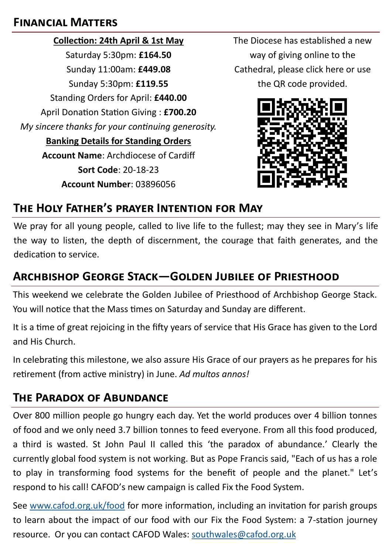#### **Financial Matters**

**Collection: 24th April & 1st May** Saturday 5:30pm: **£164.50** Sunday 11:00am: **£449.08** Sunday 5:30pm: **£119.55** Standing Orders for April: **£440.00** April Donation Station Giving : **£700.20** *My sincere thanks for your continuing generosity.*  **Banking Details for Standing Orders Account Name**: Archdiocese of Cardiff **Sort Code**: 20-18-23 **Account Number**: 03896056

The Diocese has established a new way of giving online to the Cathedral, please click here or use the QR code provided.



## **The Holy Father's prayer Intention for May**

We pray for all young people, called to live life to the fullest; may they see in Mary's life the way to listen, the depth of discernment, the courage that faith generates, and the dedication to service.

## **Archbishop George Stack—Golden Jubilee of Priesthood**

This weekend we celebrate the Golden Jubilee of Priesthood of Archbishop George Stack. You will notice that the Mass times on Saturday and Sunday are different.

It is a time of great rejoicing in the fifty years of service that His Grace has given to the Lord and His Church.

In celebrating this milestone, we also assure His Grace of our prayers as he prepares for his retirement (from active ministry) in June. *Ad multos annos!*

#### **The Paradox of Abundance**

Over 800 million people go hungry each day. Yet the world produces over 4 billion tonnes of food and we only need 3.7 billion tonnes to feed everyone. From all this food produced, a third is wasted. St John Paul II called this 'the paradox of abundance.' Clearly the currently global food system is not working. But as Pope Francis said, "Each of us has a role to play in transforming food systems for the benefit of people and the planet." Let's respond to his call! CAFOD's new campaign is called Fix the Food System.

See [www.cafod.org.uk/food](http://www.cafod.org.uk/food) for more information, including an invitation for parish groups to learn about the impact of our food with our Fix the Food System: a 7-station journey resource. Or you can contact CAFOD Wales: [southwales@cafod.org.uk](mailto:southwales@cafod.org.uk)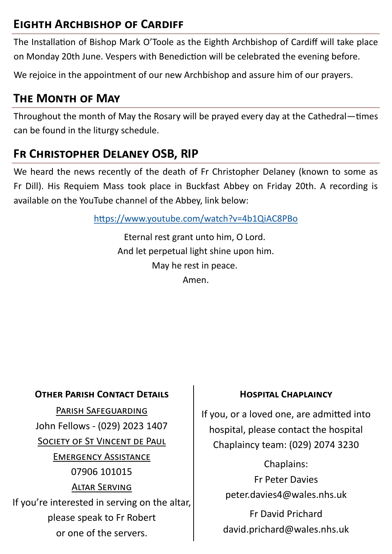## **Eighth Archbishop of Cardiff**

The Installation of Bishop Mark O'Toole as the Eighth Archbishop of Cardiff will take place on Monday 20th June. Vespers with Benediction will be celebrated the evening before.

We rejoice in the appointment of our new Archbishop and assure him of our prayers.

### **The Month of May**

Throughout the month of May the Rosary will be prayed every day at the Cathedral—times can be found in the liturgy schedule.

## **Fr Christopher Delaney OSB, RIP**

We heard the news recently of the death of Fr Christopher Delaney (known to some as Fr Dill). His Requiem Mass took place in Buckfast Abbey on Friday 20th. A recording is available on the YouTube channel of the Abbey, link below:

<https://www.youtube.com/watch?v=4b1QiAC8PBo>

Eternal rest grant unto him, O Lord. And let perpetual light shine upon him. May he rest in peace. Amen.

#### **OTHER PARISH CONTACT DETAILS FOR THE HOSPITAL CHAPLAINCY**

Parish Safeguarding John Fellows - (029) 2023 1407 SOCIETY OF ST VINCENT DE PAUL Emergency Assistance 07906 101015 Altar Serving If you're interested in serving on the altar, please speak to Fr Robert or one of the servers.

If you, or a loved one, are admitted into hospital, please contact the hospital Chaplaincy team: (029) 2074 3230

> Chaplains: Fr Peter Davies peter.davies4@wales.nhs.uk

Fr David Prichard david.prichard@wales.nhs.uk